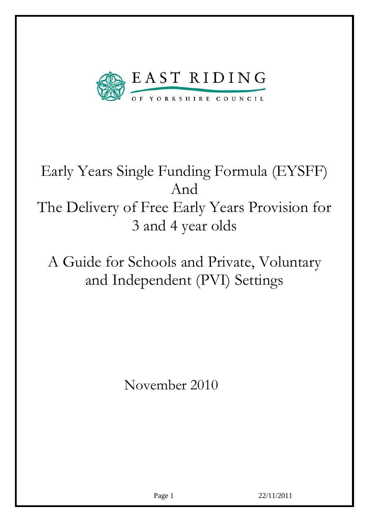

# Early Years Single Funding Formula (EYSFF) And The Delivery of Free Early Years Provision for 3 and 4 year olds

A Guide for Schools and Private, Voluntary and Independent (PVI) Settings

November 2010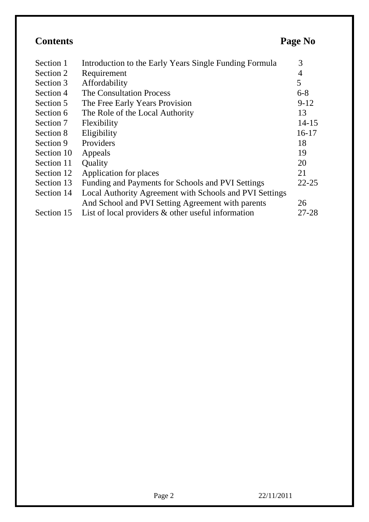| <b>Contents</b> | Page No |  |
|-----------------|---------|--|
|                 |         |  |

| Section 1  | Introduction to the Early Years Single Funding Formula  | 3         |
|------------|---------------------------------------------------------|-----------|
| Section 2  | Requirement                                             | 4         |
| Section 3  | Affordability                                           | 5         |
| Section 4  | <b>The Consultation Process</b>                         | $6 - 8$   |
| Section 5  | The Free Early Years Provision                          | $9-12$    |
| Section 6  | The Role of the Local Authority                         | 13        |
| Section 7  | Flexibility                                             | $14 - 15$ |
| Section 8  | Eligibility                                             | $16-17$   |
| Section 9  | Providers                                               | 18        |
| Section 10 | Appeals                                                 | 19        |
| Section 11 | <b>Quality</b>                                          | 20        |
| Section 12 | Application for places                                  | 21        |
| Section 13 | Funding and Payments for Schools and PVI Settings       | $22 - 25$ |
| Section 14 | Local Authority Agreement with Schools and PVI Settings |           |
|            | And School and PVI Setting Agreement with parents       | 26        |
| Section 15 | List of local providers $\&$ other useful information   | $27 - 28$ |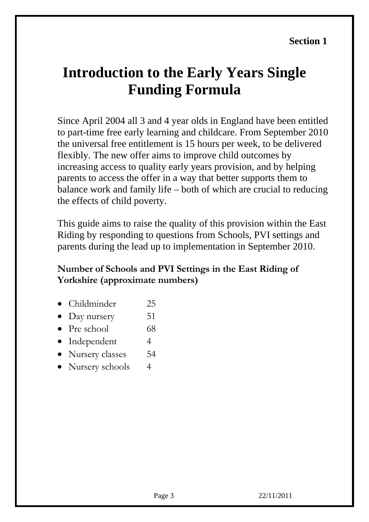## **Introduction to the Early Years Single Funding Formula**

Since April 2004 all 3 and 4 year olds in England have been entitled to part-time free early learning and childcare. From September 2010 the universal free entitlement is 15 hours per week, to be delivered flexibly. The new offer aims to improve child outcomes by increasing access to quality early years provision, and by helping parents to access the offer in a way that better supports them to balance work and family life – both of which are crucial to reducing the effects of child poverty.

This guide aims to raise the quality of this provision within the East Riding by responding to questions from Schools, PVI settings and parents during the lead up to implementation in September 2010.

#### **Number of Schools and PVI Settings in the East Riding of Yorkshire (approximate numbers)**

- Childminder 25
- Day nursery 51
- Pre school  $68$
- Independent 4
- Nursery classes 54
- Nursery schools 4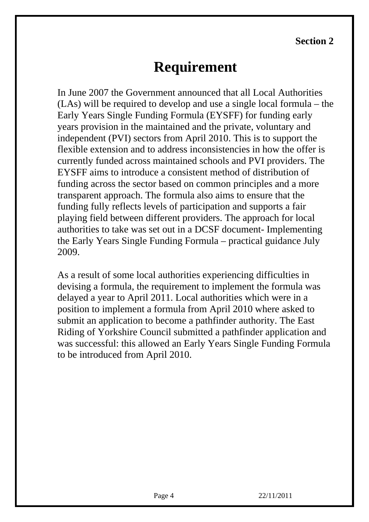**Section 2**

## **Requirement**

In June 2007 the Government announced that all Local Authorities (LAs) will be required to develop and use a single local formula – the Early Years Single Funding Formula (EYSFF) for funding early years provision in the maintained and the private, voluntary and independent (PVI) sectors from April 2010. This is to support the flexible extension and to address inconsistencies in how the offer is currently funded across maintained schools and PVI providers. The EYSFF aims to introduce a consistent method of distribution of funding across the sector based on common principles and a more transparent approach. The formula also aims to ensure that the funding fully reflects levels of participation and supports a fair playing field between different providers. The approach for local authorities to take was set out in a DCSF document- Implementing the Early Years Single Funding Formula – practical guidance July 2009.

As a result of some local authorities experiencing difficulties in devising a formula, the requirement to implement the formula was delayed a year to April 2011. Local authorities which were in a position to implement a formula from April 2010 where asked to submit an application to become a pathfinder authority. The East Riding of Yorkshire Council submitted a pathfinder application and was successful: this allowed an Early Years Single Funding Formula to be introduced from April 2010.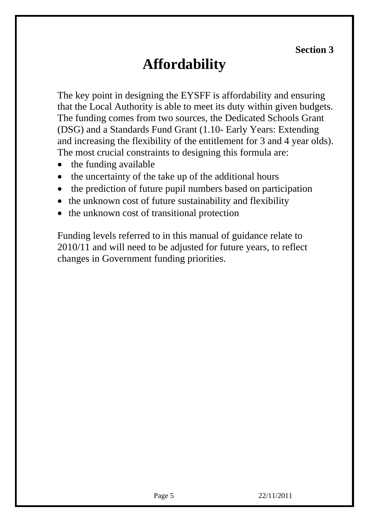**Section 3**

## **Affordability**

The key point in designing the EYSFF is affordability and ensuring that the Local Authority is able to meet its duty within given budgets. The funding comes from two sources, the Dedicated Schools Grant (DSG) and a Standards Fund Grant (1.10- Early Years: Extending and increasing the flexibility of the entitlement for 3 and 4 year olds). The most crucial constraints to designing this formula are:

- the funding available
- the uncertainty of the take up of the additional hours
- the prediction of future pupil numbers based on participation
- the unknown cost of future sustainability and flexibility
- the unknown cost of transitional protection

Funding levels referred to in this manual of guidance relate to 2010/11 and will need to be adjusted for future years, to reflect changes in Government funding priorities.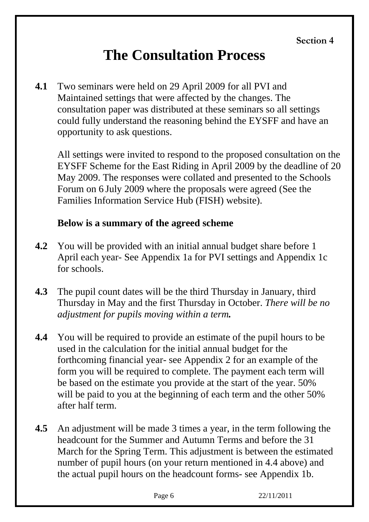## **The Consultation Process**

**4.1** Two seminars were held on 29 April 2009 for all PVI and Maintained settings that were affected by the changes. The consultation paper was distributed at these seminars so all settings could fully understand the reasoning behind the EYSFF and have an opportunity to ask questions.

All settings were invited to respond to the proposed consultation on the EYSFF Scheme for the East Riding in April 2009 by the deadline of 20 May 2009. The responses were collated and presented to the Schools Forum on 6 July 2009 where the proposals were agreed (See the Families Information Service Hub (FISH) website).

#### **Below is a summary of the agreed scheme**

- **4.2** You will be provided with an initial annual budget share before 1 April each year- See Appendix 1a for PVI settings and Appendix 1c for schools.
- **4.3** The pupil count dates will be the third Thursday in January, third Thursday in May and the first Thursday in October. *There will be no adjustment for pupils moving within a term.*
- **4.4** You will be required to provide an estimate of the pupil hours to be used in the calculation for the initial annual budget for the forthcoming financial year- see Appendix 2 for an example of the form you will be required to complete. The payment each term will be based on the estimate you provide at the start of the year. 50% will be paid to you at the beginning of each term and the other 50% after half term.
- **4.5** An adjustment will be made 3 times a year, in the term following the headcount for the Summer and Autumn Terms and before the 31 March for the Spring Term. This adjustment is between the estimated number of pupil hours (on your return mentioned in 4.4 above) and the actual pupil hours on the headcount forms- see Appendix 1b.

| ۰.<br>L<br>k. |
|---------------|
|---------------|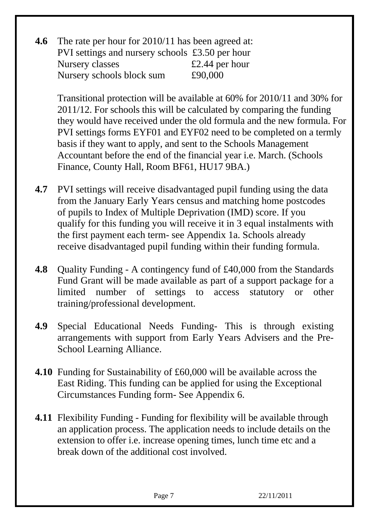**4.6** The rate per hour for 2010/11 has been agreed at: PVI settings and nursery schools £3.50 per hour Nursery classes  $\epsilon$  2.44 per hour Nursery schools block sum £90,000

Transitional protection will be available at 60% for 2010/11 and 30% for 2011/12. For schools this will be calculated by comparing the funding they would have received under the old formula and the new formula. For PVI settings forms EYF01 and EYF02 need to be completed on a termly basis if they want to apply, and sent to the Schools Management Accountant before the end of the financial year i.e. March. (Schools Finance, County Hall, Room BF61, HU17 9BA.)

- **4.7** PVI settings will receive disadvantaged pupil funding using the data from the January Early Years census and matching home postcodes of pupils to Index of Multiple Deprivation (IMD) score. If you qualify for this funding you will receive it in 3 equal instalments with the first payment each term- see Appendix 1a. Schools already receive disadvantaged pupil funding within their funding formula.
- **4.8** Quality Funding A contingency fund of £40,000 from the Standards Fund Grant will be made available as part of a support package for a limited number of settings to access statutory or other training/professional development.
- **4.9** Special Educational Needs Funding- This is through existing arrangements with support from Early Years Advisers and the Pre-School Learning Alliance.
- **4.10** Funding for Sustainability of £60,000 will be available across the East Riding. This funding can be applied for using the Exceptional Circumstances Funding form- See Appendix 6.
- **4.11** Flexibility Funding Funding for flexibility will be available through an application process. The application needs to include details on the extension to offer i.e. increase opening times, lunch time etc and a break down of the additional cost involved.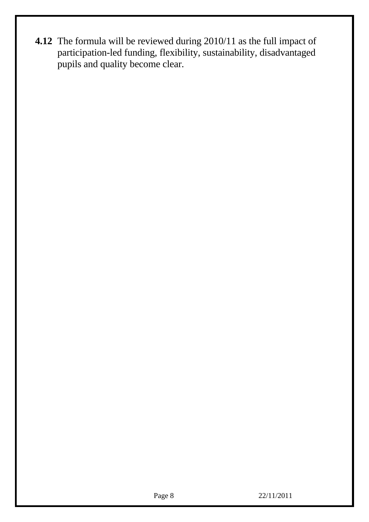**4.12** The formula will be reviewed during 2010/11 as the full impact of participation-led funding, flexibility, sustainability, disadvantaged pupils and quality become clear.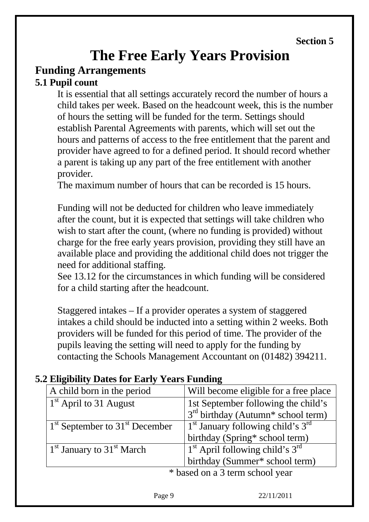# **The Free Early Years Provision**

#### **Funding Arrangements 5.1 Pupil count**

It is essential that all settings accurately record the number of hours a child takes per week. Based on the headcount week, this is the number of hours the setting will be funded for the term. Settings should establish Parental Agreements with parents, which will set out the hours and patterns of access to the free entitlement that the parent and provider have agreed to for a defined period. It should record whether a parent is taking up any part of the free entitlement with another provider.

The maximum number of hours that can be recorded is 15 hours.

Funding will not be deducted for children who leave immediately after the count, but it is expected that settings will take children who wish to start after the count, (where no funding is provided) without charge for the free early years provision, providing they still have an available place and providing the additional child does not trigger the need for additional staffing.

See 13.12 for the circumstances in which funding will be considered for a child starting after the headcount.

Staggered intakes – If a provider operates a system of staggered intakes a child should be inducted into a setting within 2 weeks. Both providers will be funded for this period of time. The provider of the pupils leaving the setting will need to apply for the funding by contacting the Schools Management Accountant on (01482) 394211.

|                                 | A child born in the period                        | Will become eligible for a free place                      |  |  |
|---------------------------------|---------------------------------------------------|------------------------------------------------------------|--|--|
|                                 | $1st$ April to 31 August                          | 1st September following the child's                        |  |  |
|                                 |                                                   | 3 <sup>rd</sup> birthday (Autumn <sup>*</sup> school term) |  |  |
|                                 | $1st$ September to $31st$ December                | $1st$ January following child's $3rd$                      |  |  |
|                                 |                                                   | birthday (Spring* school term)                             |  |  |
|                                 | 1 <sup>st</sup> January to 31 <sup>st</sup> March | $1st$ April following child's 3 <sup>rd</sup>              |  |  |
|                                 |                                                   | birthday (Summer* school term)                             |  |  |
| * based on a 3 term school year |                                                   |                                                            |  |  |

#### **5.2 Eligibility Dates for Early Years Funding**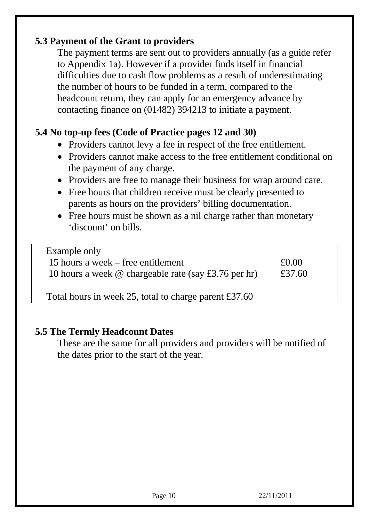### **5.3 Payment of the Grant to providers**

The payment terms are sent out to providers annually (as a guide refer to Appendix 1a). However if a provider finds itself in financial difficulties due to cash flow problems as a result of underestimating the number of hours to be funded in a term, compared to the headcount return, they can apply for an emergency advance by contacting finance on (01482) 394213 to initiate a payment.

#### **5.4 No top-up fees (Code of Practice pages 12 and 30)**

- Providers cannot levy a fee in respect of the free entitlement.
- Providers cannot make access to the free entitlement conditional on the payment of any charge.
- Providers are free to manage their business for wrap around care.
- Free hours that children receive must be clearly presented to parents as hours on the providers' billing documentation.
- Free hours must be shown as a nil charge rather than monetary 'discount' on bills.

| Example only                                                |        |
|-------------------------------------------------------------|--------|
| 15 hours a week – free entitlement                          | £0.00  |
| 10 hours a week $\omega$ chargeable rate (say £3.76 per hr) | £37.60 |
|                                                             |        |

Total hours in week 25, total to charge parent £37.60

#### **5.5 The Termly Headcount Dates**

These are the same for all providers and providers will be notified of the dates prior to the start of the year.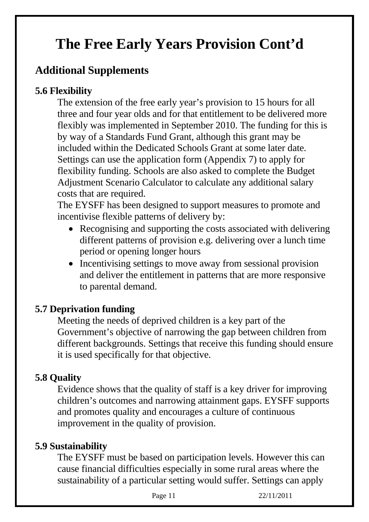## **The Free Early Years Provision Cont'd**

## **Additional Supplements**

### **5.6 Flexibility**

The extension of the free early year's provision to 15 hours for all three and four year olds and for that entitlement to be delivered more flexibly was implemented in September 2010. The funding for this is by way of a Standards Fund Grant, although this grant may be included within the Dedicated Schools Grant at some later date. Settings can use the application form (Appendix 7) to apply for flexibility funding. Schools are also asked to complete the Budget Adjustment Scenario Calculator to calculate any additional salary costs that are required.

The EYSFF has been designed to support measures to promote and incentivise flexible patterns of delivery by:

- Recognising and supporting the costs associated with delivering different patterns of provision e.g. delivering over a lunch time period or opening longer hours
- Incentivising settings to move away from sessional provision and deliver the entitlement in patterns that are more responsive to parental demand.

### **5.7 Deprivation funding**

Meeting the needs of deprived children is a key part of the Government's objective of narrowing the gap between children from different backgrounds. Settings that receive this funding should ensure it is used specifically for that objective.

### **5.8 Quality**

Evidence shows that the quality of staff is a key driver for improving children's outcomes and narrowing attainment gaps. EYSFF supports and promotes quality and encourages a culture of continuous improvement in the quality of provision.

#### **5.9 Sustainability**

The EYSFF must be based on participation levels. However this can cause financial difficulties especially in some rural areas where the sustainability of a particular setting would suffer. Settings can apply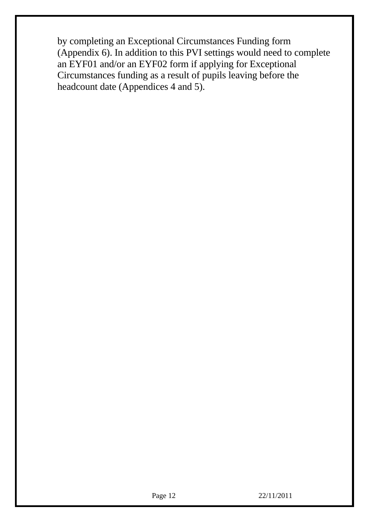by completing an Exceptional Circumstances Funding form (Appendix 6). In addition to this PVI settings would need to complete an EYF01 and/or an EYF02 form if applying for Exceptional Circumstances funding as a result of pupils leaving before the headcount date (Appendices 4 and 5).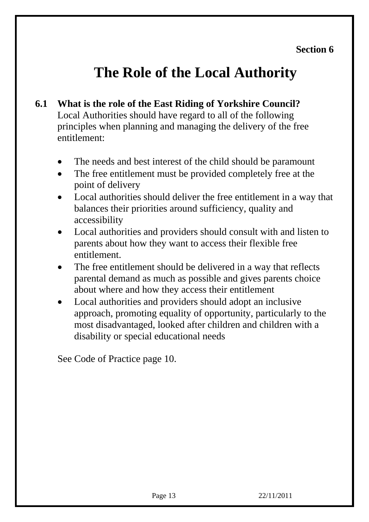## **The Role of the Local Authority**

- **6.1 What is the role of the East Riding of Yorkshire Council?**  Local Authorities should have regard to all of the following principles when planning and managing the delivery of the free entitlement:
	- The needs and best interest of the child should be paramount
	- The free entitlement must be provided completely free at the point of delivery
	- Local authorities should deliver the free entitlement in a way that balances their priorities around sufficiency, quality and accessibility
	- Local authorities and providers should consult with and listen to parents about how they want to access their flexible free entitlement.
	- The free entitlement should be delivered in a way that reflects parental demand as much as possible and gives parents choice about where and how they access their entitlement
	- Local authorities and providers should adopt an inclusive approach, promoting equality of opportunity, particularly to the most disadvantaged, looked after children and children with a disability or special educational needs

See Code of Practice page 10.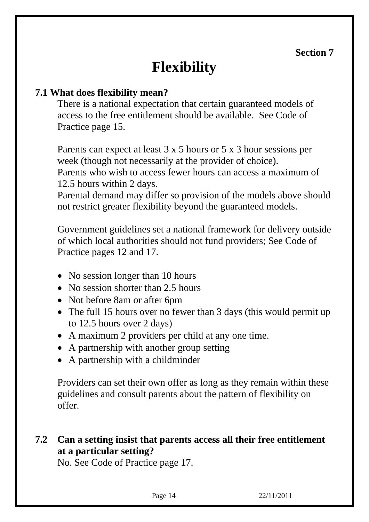## **Flexibility**

#### **7.1 What does flexibility mean?**

There is a national expectation that certain guaranteed models of access to the free entitlement should be available. See Code of Practice page 15.

Parents can expect at least 3 x 5 hours or 5 x 3 hour sessions per week (though not necessarily at the provider of choice).

Parents who wish to access fewer hours can access a maximum of 12.5 hours within 2 days.

Parental demand may differ so provision of the models above should not restrict greater flexibility beyond the guaranteed models.

Government guidelines set a national framework for delivery outside of which local authorities should not fund providers; See Code of Practice pages 12 and 17.

- No session longer than 10 hours
- No session shorter than 2.5 hours
- Not before 8am or after 6pm
- The full 15 hours over no fewer than 3 days (this would permit up to 12.5 hours over 2 days)
- A maximum 2 providers per child at any one time.
- A partnership with another group setting
- A partnership with a childminder

 Providers can set their own offer as long as they remain within these guidelines and consult parents about the pattern of flexibility on offer.

### **7.2 Can a setting insist that parents access all their free entitlement at a particular setting?**

No. See Code of Practice page 17.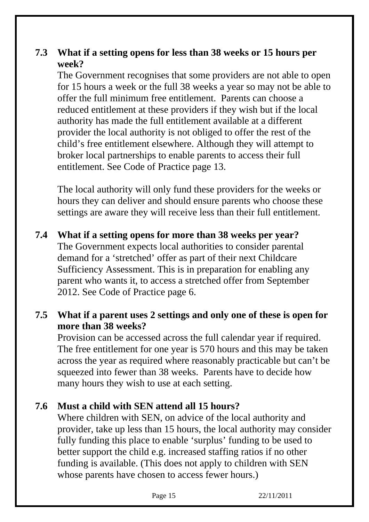### **7.3 What if a setting opens for less than 38 weeks or 15 hours per week?**

The Government recognises that some providers are not able to open for 15 hours a week or the full 38 weeks a year so may not be able to offer the full minimum free entitlement. Parents can choose a reduced entitlement at these providers if they wish but if the local authority has made the full entitlement available at a different provider the local authority is not obliged to offer the rest of the child's free entitlement elsewhere. Although they will attempt to broker local partnerships to enable parents to access their full entitlement. See Code of Practice page 13.

The local authority will only fund these providers for the weeks or hours they can deliver and should ensure parents who choose these settings are aware they will receive less than their full entitlement.

**7.4 What if a setting opens for more than 38 weeks per year?**  The Government expects local authorities to consider parental demand for a 'stretched' offer as part of their next Childcare Sufficiency Assessment. This is in preparation for enabling any parent who wants it, to access a stretched offer from September 2012. See Code of Practice page 6.

### **7.5 What if a parent uses 2 settings and only one of these is open for more than 38 weeks?**

Provision can be accessed across the full calendar year if required. The free entitlement for one year is 570 hours and this may be taken across the year as required where reasonably practicable but can't be squeezed into fewer than 38 weeks. Parents have to decide how many hours they wish to use at each setting.

### **7.6 Must a child with SEN attend all 15 hours?**

Where children with SEN, on advice of the local authority and provider, take up less than 15 hours, the local authority may consider fully funding this place to enable 'surplus' funding to be used to better support the child e.g. increased staffing ratios if no other funding is available. (This does not apply to children with SEN whose parents have chosen to access fewer hours.)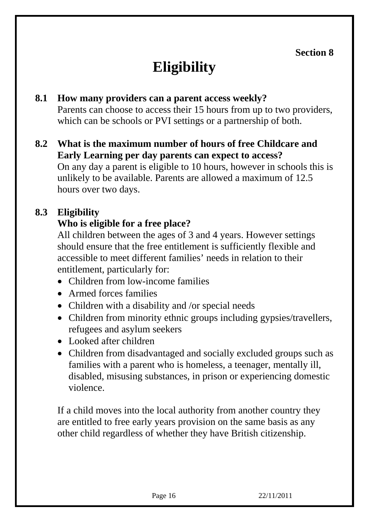# **Eligibility**

#### **8.1 How many providers can a parent access weekly?**

Parents can choose to access their 15 hours from up to two providers, which can be schools or PVI settings or a partnership of both.

#### **8.2 What is the maximum number of hours of free Childcare and Early Learning per day parents can expect to access?**  On any day a parent is eligible to 10 hours, however in schools this is unlikely to be available. Parents are allowed a maximum of 12.5 hours over two days.

### **8.3 Eligibility**

#### **Who is eligible for a free place?**

All children between the ages of 3 and 4 years. However settings should ensure that the free entitlement is sufficiently flexible and accessible to meet different families' needs in relation to their entitlement, particularly for:

- Children from low-income families
- Armed forces families
- Children with a disability and /or special needs
- Children from minority ethnic groups including gypsies/travellers, refugees and asylum seekers
- Looked after children
- Children from disadvantaged and socially excluded groups such as families with a parent who is homeless, a teenager, mentally ill, disabled, misusing substances, in prison or experiencing domestic violence.

If a child moves into the local authority from another country they are entitled to free early years provision on the same basis as any other child regardless of whether they have British citizenship.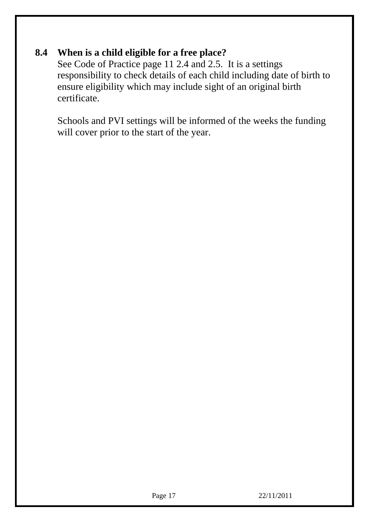### **8.4 When is a child eligible for a free place?**

See Code of Practice page 11 2.4 and 2.5. It is a settings responsibility to check details of each child including date of birth to ensure eligibility which may include sight of an original birth certificate.

Schools and PVI settings will be informed of the weeks the funding will cover prior to the start of the year.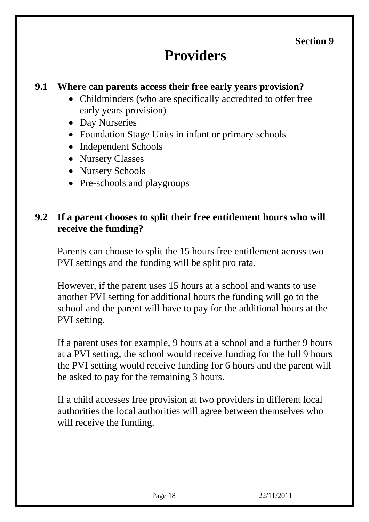## **Providers**

#### **9.1 Where can parents access their free early years provision?**

- Childminders (who are specifically accredited to offer free early years provision)
- Day Nurseries
- Foundation Stage Units in infant or primary schools
- Independent Schools
- Nursery Classes
- Nursery Schools
- Pre-schools and playgroups

### **9.2 If a parent chooses to split their free entitlement hours who will receive the funding?**

Parents can choose to split the 15 hours free entitlement across two PVI settings and the funding will be split pro rata.

However, if the parent uses 15 hours at a school and wants to use another PVI setting for additional hours the funding will go to the school and the parent will have to pay for the additional hours at the PVI setting.

If a parent uses for example, 9 hours at a school and a further 9 hours at a PVI setting, the school would receive funding for the full 9 hours the PVI setting would receive funding for 6 hours and the parent will be asked to pay for the remaining 3 hours.

If a child accesses free provision at two providers in different local authorities the local authorities will agree between themselves who will receive the funding.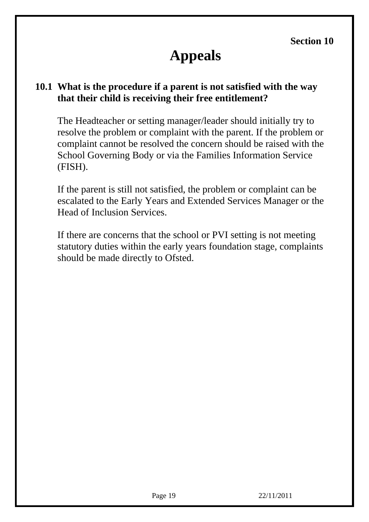## **Appeals**

#### **10.1 What is the procedure if a parent is not satisfied with the way that their child is receiving their free entitlement?**

The Headteacher or setting manager/leader should initially try to resolve the problem or complaint with the parent. If the problem or complaint cannot be resolved the concern should be raised with the School Governing Body or via the Families Information Service (FISH).

If the parent is still not satisfied, the problem or complaint can be escalated to the Early Years and Extended Services Manager or the Head of Inclusion Services.

If there are concerns that the school or PVI setting is not meeting statutory duties within the early years foundation stage, complaints should be made directly to Ofsted.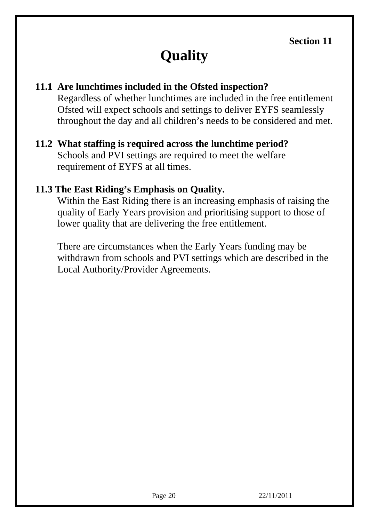# **Quality**

### **11.1 Are lunchtimes included in the Ofsted inspection?**

Regardless of whether lunchtimes are included in the free entitlement Ofsted will expect schools and settings to deliver EYFS seamlessly throughout the day and all children's needs to be considered and met.

### **11.2 What staffing is required across the lunchtime period?**

Schools and PVI settings are required to meet the welfare requirement of EYFS at all times.

#### **11.3 The East Riding's Emphasis on Quality.**

Within the East Riding there is an increasing emphasis of raising the quality of Early Years provision and prioritising support to those of lower quality that are delivering the free entitlement.

There are circumstances when the Early Years funding may be withdrawn from schools and PVI settings which are described in the Local Authority/Provider Agreements.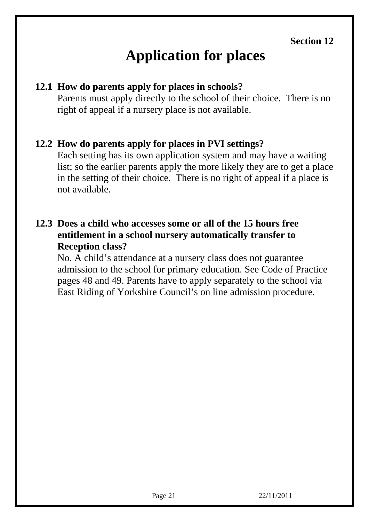# **Application for places**

#### **12.1 How do parents apply for places in schools?**

Parents must apply directly to the school of their choice. There is no right of appeal if a nursery place is not available.

#### **12.2 How do parents apply for places in PVI settings?**

Each setting has its own application system and may have a waiting list; so the earlier parents apply the more likely they are to get a place in the setting of their choice. There is no right of appeal if a place is not available.

#### **12.3 Does a child who accesses some or all of the 15 hours free entitlement in a school nursery automatically transfer to Reception class?**

No. A child's attendance at a nursery class does not guarantee admission to the school for primary education. See Code of Practice pages 48 and 49. Parents have to apply separately to the school via East Riding of Yorkshire Council's on line admission procedure.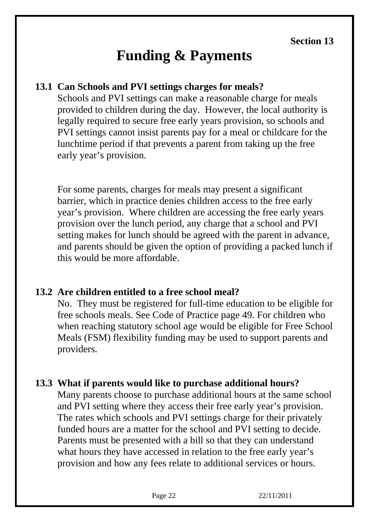## **Funding & Payments**

#### **13.1 Can Schools and PVI settings charges for meals?**

Schools and PVI settings can make a reasonable charge for meals provided to children during the day. However, the local authority is legally required to secure free early years provision, so schools and PVI settings cannot insist parents pay for a meal or childcare for the lunchtime period if that prevents a parent from taking up the free early year's provision.

For some parents, charges for meals may present a significant barrier, which in practice denies children access to the free early year's provision. Where children are accessing the free early years provision over the lunch period, any charge that a school and PVI setting makes for lunch should be agreed with the parent in advance, and parents should be given the option of providing a packed lunch if this would be more affordable.

#### **13.2 Are children entitled to a free school meal?**

No. They must be registered for full-time education to be eligible for free schools meals. See Code of Practice page 49. For children who when reaching statutory school age would be eligible for Free School Meals (FSM) flexibility funding may be used to support parents and providers.

#### **13.3 What if parents would like to purchase additional hours?**

Many parents choose to purchase additional hours at the same school and PVI setting where they access their free early year's provision. The rates which schools and PVI settings charge for their privately funded hours are a matter for the school and PVI setting to decide. Parents must be presented with a bill so that they can understand what hours they have accessed in relation to the free early year's provision and how any fees relate to additional services or hours.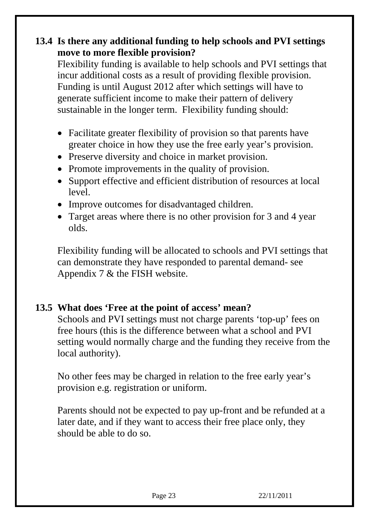### **13.4 Is there any additional funding to help schools and PVI settings move to more flexible provision?**

Flexibility funding is available to help schools and PVI settings that incur additional costs as a result of providing flexible provision. Funding is until August 2012 after which settings will have to generate sufficient income to make their pattern of delivery sustainable in the longer term. Flexibility funding should:

- Facilitate greater flexibility of provision so that parents have greater choice in how they use the free early year's provision.
- Preserve diversity and choice in market provision.
- Promote improvements in the quality of provision.
- Support effective and efficient distribution of resources at local level.
- Improve outcomes for disadvantaged children.
- Target areas where there is no other provision for 3 and 4 year olds.

Flexibility funding will be allocated to schools and PVI settings that can demonstrate they have responded to parental demand- see Appendix 7 & the FISH website.

#### **13.5 What does 'Free at the point of access' mean?**

Schools and PVI settings must not charge parents 'top-up' fees on free hours (this is the difference between what a school and PVI setting would normally charge and the funding they receive from the local authority).

No other fees may be charged in relation to the free early year's provision e.g. registration or uniform.

Parents should not be expected to pay up-front and be refunded at a later date, and if they want to access their free place only, they should be able to do so.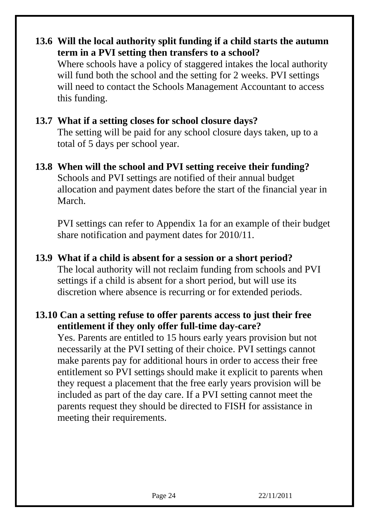#### **13.6 Will the local authority split funding if a child starts the autumn term in a PVI setting then transfers to a school?**

Where schools have a policy of staggered intakes the local authority will fund both the school and the setting for 2 weeks. PVI settings will need to contact the Schools Management Accountant to access this funding.

### **13.7 What if a setting closes for school closure days?**

The setting will be paid for any school closure days taken, up to a total of 5 days per school year.

**13.8 When will the school and PVI setting receive their funding?**  Schools and PVI settings are notified of their annual budget allocation and payment dates before the start of the financial year in March.

PVI settings can refer to Appendix 1a for an example of their budget share notification and payment dates for 2010/11.

## **13.9 What if a child is absent for a session or a short period?**

The local authority will not reclaim funding from schools and PVI settings if a child is absent for a short period, but will use its discretion where absence is recurring or for extended periods.

#### **13.10 Can a setting refuse to offer parents access to just their free entitlement if they only offer full-time day-care?**

Yes. Parents are entitled to 15 hours early years provision but not necessarily at the PVI setting of their choice. PVI settings cannot make parents pay for additional hours in order to access their free entitlement so PVI settings should make it explicit to parents when they request a placement that the free early years provision will be included as part of the day care. If a PVI setting cannot meet the parents request they should be directed to FISH for assistance in meeting their requirements.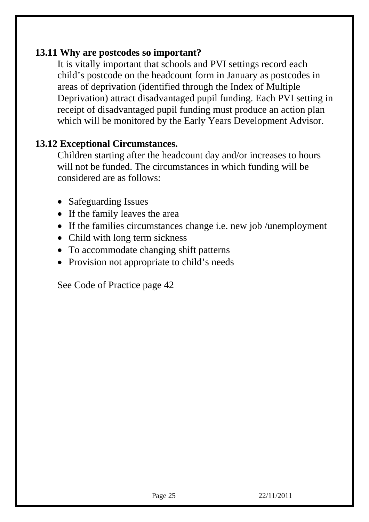#### **13.11 Why are postcodes so important?**

It is vitally important that schools and PVI settings record each child's postcode on the headcount form in January as postcodes in areas of deprivation (identified through the Index of Multiple Deprivation) attract disadvantaged pupil funding. Each PVI setting in receipt of disadvantaged pupil funding must produce an action plan which will be monitored by the Early Years Development Advisor.

#### **13.12 Exceptional Circumstances.**

Children starting after the headcount day and/or increases to hours will not be funded. The circumstances in which funding will be considered are as follows:

- Safeguarding Issues
- If the family leaves the area
- If the families circumstances change i.e. new job /unemployment
- Child with long term sickness
- To accommodate changing shift patterns
- Provision not appropriate to child's needs

See Code of Practice page 42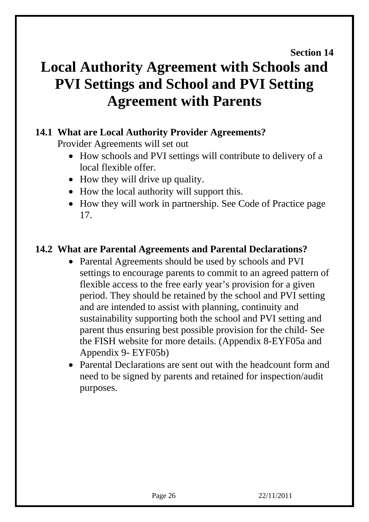#### **Section 14**

## **Local Authority Agreement with Schools and PVI Settings and School and PVI Setting Agreement with Parents**

#### **14.1 What are Local Authority Provider Agreements?**

Provider Agreements will set out

- How schools and PVI settings will contribute to delivery of a local flexible offer.
- How they will drive up quality.
- How the local authority will support this.
- How they will work in partnership. See Code of Practice page 17.

### **14.2 What are Parental Agreements and Parental Declarations?**

- Parental Agreements should be used by schools and PVI settings to encourage parents to commit to an agreed pattern of flexible access to the free early year's provision for a given period. They should be retained by the school and PVI setting and are intended to assist with planning, continuity and sustainability supporting both the school and PVI setting and parent thus ensuring best possible provision for the child- See the FISH website for more details. (Appendix 8-EYF05a and Appendix 9- EYF05b)
- Parental Declarations are sent out with the headcount form and need to be signed by parents and retained for inspection/audit purposes.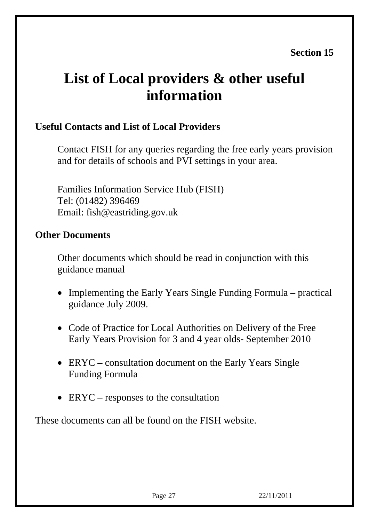## **List of Local providers & other useful information**

### **Useful Contacts and List of Local Providers**

Contact FISH for any queries regarding the free early years provision and for details of schools and PVI settings in your area.

Families Information Service Hub (FISH) Tel: (01482) 396469 Email: fish@eastriding.gov.uk

#### **Other Documents**

Other documents which should be read in conjunction with this guidance manual

- Implementing the Early Years Single Funding Formula practical guidance July 2009.
- Code of Practice for Local Authorities on Delivery of the Free Early Years Provision for 3 and 4 year olds- September 2010
- ERYC consultation document on the Early Years Single Funding Formula
- ERYC responses to the consultation

These documents can all be found on the FISH website.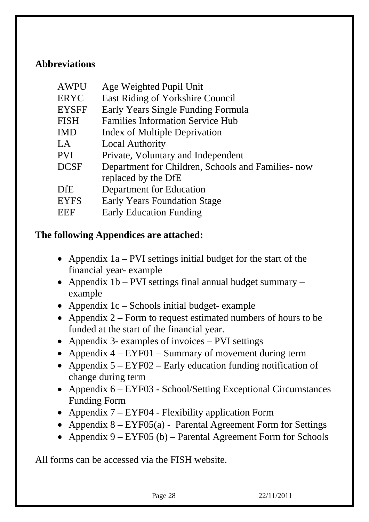#### **Abbreviations**

| <b>AWPU</b>  | Age Weighted Pupil Unit                           |
|--------------|---------------------------------------------------|
| <b>ERYC</b>  | East Riding of Yorkshire Council                  |
| <b>EYSFF</b> | Early Years Single Funding Formula                |
| <b>FISH</b>  | <b>Families Information Service Hub</b>           |
| <b>IMD</b>   | Index of Multiple Deprivation                     |
| LA           | <b>Local Authority</b>                            |
| <b>PVI</b>   | Private, Voluntary and Independent                |
| <b>DCSF</b>  | Department for Children, Schools and Families-now |
|              | replaced by the DfE                               |
| <b>DfE</b>   | Department for Education                          |
| <b>EYFS</b>  | <b>Early Years Foundation Stage</b>               |
| EEF          | <b>Early Education Funding</b>                    |
|              |                                                   |

#### **The following Appendices are attached:**

- Appendix 1a PVI settings initial budget for the start of the financial year- example
- Appendix 1b PVI settings final annual budget summary example
- Appendix 1c Schools initial budget- example
- Appendix 2 Form to request estimated numbers of hours to be funded at the start of the financial year.
- Appendix 3- examples of invoices PVI settings
- Appendix  $4 EYF01 Summary$  of movement during term
- Appendix  $5 EYF02$  Early education funding notification of change during term
- Appendix 6 EYF03 School/Setting Exceptional Circumstances Funding Form
- Appendix 7 EYF04 Flexibility application Form
- Appendix  $8 EYF05(a)$  Parental Agreement Form for Settings
- Appendix  $9 EYF05$  (b) Parental Agreement Form for Schools

All forms can be accessed via the FISH website.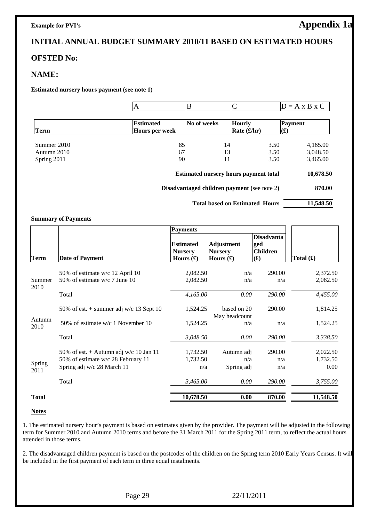#### **Example for PVI's** Appendix 1a

#### **INITIAL ANNUAL BUDGET SUMMARY 2010/11 BASED ON ESTIMATED HOURS**

#### **OFSTED No:**

#### **NAME:**

**Estimated nursery hours payment (see note 1)** 

|             |                                           | В           |                                              |                           | $D = A \times B \times C$ |
|-------------|-------------------------------------------|-------------|----------------------------------------------|---------------------------|---------------------------|
| Term        | <b>Estimated</b><br><b>Hours per week</b> | No of weeks | <b>Hourly</b><br>Rate $(\pounds/hr)$         | Payment<br>$\mathbf{(f)}$ |                           |
| Summer 2010 |                                           | 85          | 14                                           | 3.50                      | 4,165.00                  |
| Autumn 2010 |                                           | 67          | 13                                           | 3.50                      | 3,048.50                  |
| Spring 2011 |                                           | 90          | 11                                           | 3.50                      | 3,465.00                  |
|             |                                           |             | <b>Estimated nursery hours payment total</b> |                           | 10,678.50                 |

**Disadvantaged children payment (**see note 2**) 870.00**

Total based on Estimated Hours 11,548.50

#### **Summary of Payments**

|                |                                           | <b>Payments</b>                                         |                                                                   |                                                     |             |
|----------------|-------------------------------------------|---------------------------------------------------------|-------------------------------------------------------------------|-----------------------------------------------------|-------------|
| Term           | <b>Date of Payment</b>                    | <b>Estimated</b><br><b>Nursery</b><br>Hours $(\pounds)$ | <b>Adjustment</b><br><b>Nursery</b><br>Hours $(\mathbf{\pounds})$ | <b>Disadvanta</b><br>ged<br><b>Children</b><br>f(x) | Total $(f)$ |
|                |                                           |                                                         |                                                                   |                                                     |             |
|                | 50% of estimate w/c 12 April 10           | 2,082.50                                                | n/a                                                               | 290.00                                              | 2,372.50    |
| Summer<br>2010 | 50% of estimate $w/c$ 7 June 10           | 2,082.50                                                | n/a                                                               | n/a                                                 | 2,082.50    |
|                | Total                                     | 4,165.00                                                | 0.00                                                              | 290.00                                              | 4,455.00    |
|                | 50% of est. $+$ summer adj w/c 13 Sept 10 | 1,524.25                                                | based on 20                                                       | 290.00                                              | 1,814.25    |
| Autumn<br>2010 | 50% of estimate w/c 1 November 10         | 1,524.25                                                | May headcount<br>n/a                                              | n/a                                                 | 1,524.25    |
|                | Total                                     | 3,048.50                                                | 0.00                                                              | 290.00                                              | 3,338.50    |
|                | 50% of est. + Autumn adj w/c 10 Jan 11    | 1,732.50                                                | Autumn adj                                                        | 290.00                                              | 2,022.50    |
|                | 50% of estimate w/c 28 February 11        | 1,732.50                                                | n/a                                                               | n/a                                                 | 1,732.50    |
| Spring<br>2011 | Spring adj w/c 28 March 11                | n/a                                                     | Spring adj                                                        | n/a                                                 | 0.00        |
|                | Total                                     | 3,465.00                                                | 0.00                                                              | 290.00                                              | 3,755.00    |
| <b>Total</b>   |                                           | 10,678.50                                               | 0.00                                                              | 870.00                                              | 11,548.50   |

#### **Notes**

1. The estimated nursery hour's payment is based on estimates given by the provider. The payment will be adjusted in the following term for Summer 2010 and Autumn 2010 terms and before the 31 March 2011 for the Spring 2011 term, to reflect the actual hours attended in those terms.

2. The disadvantaged children payment is based on the postcodes of the children on the Spring term 2010 Early Years Census. It will be included in the first payment of each term in three equal instalments.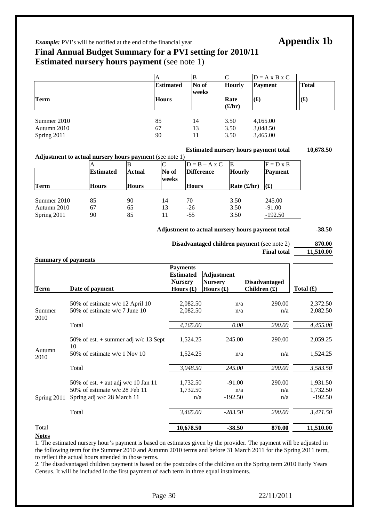#### *Example:* PVI's will be notified at the end of the financial year **Appendix 1b**

#### **Final Annual Budget Summary for a PVI setting for 2010/11 Estimated nursery hours payment** (see note 1)

|             | A                | B     |               | $D = A \times B \times C$ |                |
|-------------|------------------|-------|---------------|---------------------------|----------------|
|             | <b>Estimated</b> | No of | <b>Hourly</b> | <b>Payment</b>            | Total          |
|             |                  | weeks |               |                           |                |
| Term        | <b>Hours</b>     |       | Rate          | $\mathbf{(f)}$            | $\mathbf{(f)}$ |
|             |                  |       | (f/hr)        |                           |                |
|             |                  |       |               |                           |                |
| Summer 2010 | 85               | 14    | 3.50          | 4,165.00                  |                |
| Autumn 2010 | 67               | 13    | 3.50          | 3,048.50                  |                |
| Spring 2011 | 90               | 11    | 3.50          | 3,465.00                  |                |

#### **Estimated nursery hours payment total 10,678.50**

| <b>Adjustment to actual nursery hours payment</b> (see note 1) |                  |              |       |                      |                     |                |
|----------------------------------------------------------------|------------------|--------------|-------|----------------------|---------------------|----------------|
|                                                                |                  |              |       | $D = B - A \times C$ | IE                  | $F = D x E$    |
|                                                                | <b>Estimated</b> | Actual       | No of | <b>Difference</b>    | Hourly              | <b>Payment</b> |
|                                                                |                  |              | weeks |                      |                     |                |
| Term                                                           | <b>Hours</b>     | <b>Hours</b> |       | <b>Hours</b>         | Rate $(\pounds/hr)$ | (£)            |
|                                                                |                  |              |       |                      |                     |                |
| Summer 2010                                                    | 85               | 90           | 14    | 70                   | 3.50                | 245.00         |
| Autumn 2010                                                    | 67               | 65           | 13    | $-26$                | 3.50                | $-91.00$       |
| Spring 2011                                                    | 90               | 85           | 11    | $-55$                | 3.50                | $-192.50$      |
|                                                                |                  |              |       |                      |                     |                |

Adjustment to actual nursery hours payment total -38.50

| <b>Disadvantaged children payment</b> (see note 2) | 870.00    |
|----------------------------------------------------|-----------|
| <b>Final total</b>                                 | 11.510.00 |

#### **Summary of payments**

|                |                                              | <b>Payments</b>                                         |                                                                     |                                        |                              |  |
|----------------|----------------------------------------------|---------------------------------------------------------|---------------------------------------------------------------------|----------------------------------------|------------------------------|--|
| <b>Term</b>    | Date of payment                              | <b>Estimated</b><br><b>Nursery</b><br>Hours $(\pounds)$ | <b>Adjustment</b><br><b>Nursery</b><br>Hours $(\pmb{\mathfrak{L}})$ | <b>Disadvantaged</b><br>Children $(f)$ | Total $(\pmb{\mathfrak{L}})$ |  |
|                | 50% of estimate w/c 12 April 10              | 2,082.50                                                | n/a                                                                 | 290.00                                 | 2,372.50                     |  |
| Summer         | 50% of estimate $w/c$ 7 June 10              | 2,082.50                                                | n/a                                                                 | n/a                                    | 2,082.50                     |  |
| 2010           | Total                                        | 4,165.00                                                | $0.00\,$                                                            | 290.00                                 | 4,455.00                     |  |
|                | 50% of est. $+$ summer adj w/c 13 Sept<br>10 | 1,524.25                                                | 245.00                                                              | 290.00                                 | 2,059.25                     |  |
| Autumn<br>2010 | 50% of estimate $w/c$ 1 Nov 10               | 1,524.25                                                | n/a                                                                 | n/a                                    | 1,524.25                     |  |
|                | Total                                        | 3,048.50                                                | 245.00                                                              | 290.00                                 | 3,583.50                     |  |
|                | 50% of est. $+$ aut adj w/c 10 Jan 11        | 1,732.50                                                | $-91.00$                                                            | 290.00                                 | 1,931.50                     |  |
|                | 50% of estimate $w/c$ 28 Feb 11              | 1,732.50                                                | n/a                                                                 | n/a                                    | 1,732.50                     |  |
| Spring 2011    | Spring adj w/c 28 March 11                   | n/a                                                     | $-192.50$                                                           | n/a                                    | $-192.50$                    |  |
|                | Total                                        | 3,465.00                                                | $-283.50$                                                           | 290.00                                 | 3,471.50                     |  |
| Total          |                                              | 10,678.50                                               | $-38.50$                                                            | 870.00                                 | 11,510.00                    |  |

#### **Notes**

1. The estimated nursery hour's payment is based on estimates given by the provider. The payment will be adjusted in the following term for the Summer 2010 and Autumn 2010 terms and before 31 March 2011 for the Spring 2011 term, to reflect the actual hours attended in those terms.

2. The disadvantaged children payment is based on the postcodes of the children on the Spring term 2010 Early Years Census. It will be included in the first payment of each term in three equal instalments.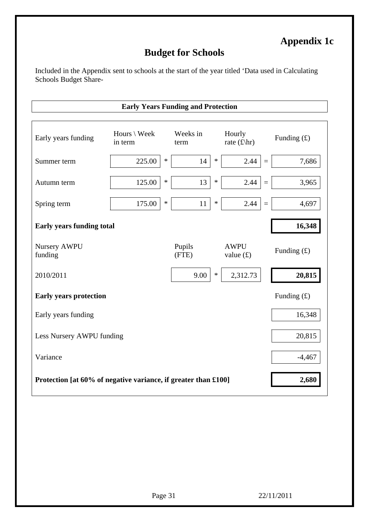### **Appendix 1c**

#### **Budget for Schools**

Included in the Appendix sent to schools at the start of the year titled 'Data used in Calculating Schools Budget Share-

**Early Years Funding and Protection** 

## Early years funding  $\qquad \qquad \text{Hours} \setminus \text{Week}$ in term Weeks in term Hourly rate  $(f\$ {tr}) Funding  $(f)$ Summer term 225.00  $*$  14  $*$  2.44 = 7.686 Autumn term  $125.00 * 13 * 2.44 = 3.965$ Spring term 175.00  $*$  11  $*$  2.44 = 4,697 **Early years funding total 16,348** 16,348 Nursery AWPU Pupils<br>
funding (FTE) (FTE) AWPU value  $(\textbf{f})$  Funding  $(\textbf{f})$ 2010/2011 9.00 \* 2,312.73 **20,815 Early years protection** Funding (£) Early years funding 16,348 Less Nursery AWPU funding 20,815  $Variance$   $-4,467$ **Protection [at 60% of negative variance, if greater than £100]** 2,680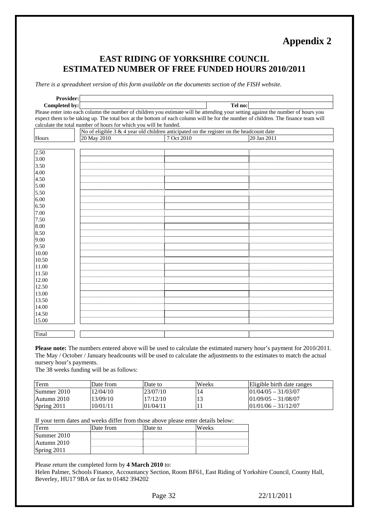### **Appendix 2**

#### **EAST RIDING OF YORKSHIRE COUNCIL ESTIMATED NUMBER OF FREE FUNDED HOURS 2010/2011**

*There is a spreadsheet version of this form available on the documents section of the FISH website.* 

| Provider:     |                                                                                                                                   |            |             |  |  |  |  |
|---------------|-----------------------------------------------------------------------------------------------------------------------------------|------------|-------------|--|--|--|--|
| Completed by: |                                                                                                                                   | Tel no:    |             |  |  |  |  |
|               | Please enter into each column the number of children you estimate will be attending your setting against the number of hours you  |            |             |  |  |  |  |
|               | expect them to be taking up. The total box at the bottom of each column will be for the number of children. The finance team will |            |             |  |  |  |  |
|               | calculate the total number of hours for which you will be funded.                                                                 |            |             |  |  |  |  |
|               | No of eligible $3 & 4$ year old children anticipated on the register on the headcount date                                        |            |             |  |  |  |  |
| Hours         | 20 May 2010                                                                                                                       | 7 Oct 2010 | 20 Jan 2011 |  |  |  |  |
|               |                                                                                                                                   |            |             |  |  |  |  |
| 2.50          |                                                                                                                                   |            |             |  |  |  |  |
| 3.00          |                                                                                                                                   |            |             |  |  |  |  |
| 3.50          |                                                                                                                                   |            |             |  |  |  |  |
| 4.00          |                                                                                                                                   |            |             |  |  |  |  |
| 4.50          |                                                                                                                                   |            |             |  |  |  |  |
| 5.00          |                                                                                                                                   |            |             |  |  |  |  |
| 5.50          |                                                                                                                                   |            |             |  |  |  |  |
| 6.00          |                                                                                                                                   |            |             |  |  |  |  |
| 6.50          |                                                                                                                                   |            |             |  |  |  |  |
| 7.00          |                                                                                                                                   |            |             |  |  |  |  |
| 7.50          |                                                                                                                                   |            |             |  |  |  |  |
| 8.00          |                                                                                                                                   |            |             |  |  |  |  |
| 8.50          |                                                                                                                                   |            |             |  |  |  |  |
| 9.00          |                                                                                                                                   |            |             |  |  |  |  |
| 9.50          |                                                                                                                                   |            |             |  |  |  |  |
| 10.00         |                                                                                                                                   |            |             |  |  |  |  |
| 10.50         |                                                                                                                                   |            |             |  |  |  |  |
| 11.00         |                                                                                                                                   |            |             |  |  |  |  |
| 11.50         |                                                                                                                                   |            |             |  |  |  |  |
| 12.00         |                                                                                                                                   |            |             |  |  |  |  |
| 12.50         |                                                                                                                                   |            |             |  |  |  |  |
| 13.00         |                                                                                                                                   |            |             |  |  |  |  |
| 13.50         |                                                                                                                                   |            |             |  |  |  |  |
| 14.00         |                                                                                                                                   |            |             |  |  |  |  |
| 14.50         |                                                                                                                                   |            |             |  |  |  |  |
| 15.00         |                                                                                                                                   |            |             |  |  |  |  |
|               |                                                                                                                                   |            |             |  |  |  |  |
| Total         |                                                                                                                                   |            |             |  |  |  |  |
|               |                                                                                                                                   |            |             |  |  |  |  |

**Please note:** The numbers entered above will be used to calculate the estimated nursery hour's payment for 2010/2011. The May / October / January headcounts will be used to calculate the adjustments to the estimates to match the actual nursery hour's payments.

The 38 weeks funding will be as follows:

| Term        | Date from | Date to  | Weeks | Eligible birth date ranges |
|-------------|-----------|----------|-------|----------------------------|
| Summer 2010 | 12/04/10  | 23/07/10 | 14    | $101/04/05 - 31/03/07$     |
| Autumn 2010 | 3/09/10   | 17/12/10 |       | $101/09/05 - 31/08/07$     |
| Spring 2011 | 10/01/11  | 01/04/11 |       | $01/01/06 - 31/12/07$      |

If your term dates and weeks differ from those above please enter details below:

| erm         | Jate from | Jate to | Weeks |
|-------------|-----------|---------|-------|
| Summer 2010 |           |         |       |
| Autumn 2010 |           |         |       |
|             |           |         |       |

Please return the completed form by **4 March 2010** to:

Helen Palmer, Schools Finance, Accountancy Section, Room BF61, East Riding of Yorkshire Council, County Hall, Beverley, HU17 9BA or fax to 01482 394202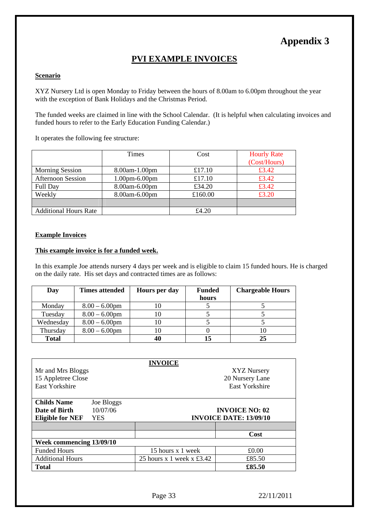### **Appendix 3**

#### **PVI EXAMPLE INVOICES**

#### **Scenario**

XYZ Nursery Ltd is open Monday to Friday between the hours of 8.00am to 6.00pm throughout the year with the exception of Bank Holidays and the Christmas Period.

The funded weeks are claimed in line with the School Calendar. (It is helpful when calculating invoices and funded hours to refer to the Early Education Funding Calendar.)

It operates the following fee structure:

|                              | <b>Times</b>     | Cost    | <b>Hourly Rate</b> |
|------------------------------|------------------|---------|--------------------|
|                              |                  |         | (Cost/Hours)       |
| <b>Morning Session</b>       | 8.00am-1.00pm    | £17.10  | £3.42              |
| <b>Afternoon Session</b>     | $1.00$ pm-6.00pm | £17.10  | £3.42              |
| Full Day                     | 8.00am-6.00pm    | £34.20  | £3.42              |
| Weekly                       | 8.00am-6.00pm    | £160.00 | £3.20              |
|                              |                  |         |                    |
| <b>Additional Hours Rate</b> |                  | £4.20   |                    |

#### **Example Invoices**

#### **This example invoice is for a funded week.**

In this example Joe attends nursery 4 days per week and is eligible to claim 15 funded hours. He is charged on the daily rate. His set days and contracted times are as follows:

| Day          | <b>Times attended</b> | <b>Hours per day</b> | <b>Funded</b> | <b>Chargeable Hours</b> |
|--------------|-----------------------|----------------------|---------------|-------------------------|
|              |                       |                      | hours         |                         |
| Monday       | $8.00 - 6.00$ pm      | 10                   |               |                         |
| Tuesday      | $8.00 - 6.00$ pm      | 10                   |               |                         |
| Wednesday    | $8.00 - 6.00$ pm      | 10                   |               |                         |
| Thursday     | $8.00 - 6.00$ pm      | 10                   |               | 10                      |
| <b>Total</b> |                       | 40                   | 15            | 25                      |

| Mr and Mrs Bloggs<br>15 Appletree Close<br><b>East Yorkshire</b> |            | <b>INVOICE</b>                        | <b>XYZ Nursery</b><br>20 Nursery Lane<br><b>East Yorkshire</b> |
|------------------------------------------------------------------|------------|---------------------------------------|----------------------------------------------------------------|
| <b>Childs Name</b>                                               | Joe Bloggs |                                       |                                                                |
| Date of Birth                                                    | 10/07/06   |                                       | <b>INVOICE NO: 02</b>                                          |
| <b>Eligible for NEF</b>                                          | <b>YES</b> |                                       | <b>INVOICE DATE: 13/09/10</b>                                  |
|                                                                  |            |                                       |                                                                |
|                                                                  |            |                                       | Cost                                                           |
| Week commencing 13/09/10                                         |            |                                       |                                                                |
| <b>Funded Hours</b>                                              |            | 15 hours x 1 week                     | £0.00                                                          |
| <b>Additional Hours</b>                                          |            | 25 hours $x$ 1 week $x \text{ £3.42}$ | £85.50                                                         |
| <b>Total</b>                                                     |            |                                       | £85.50                                                         |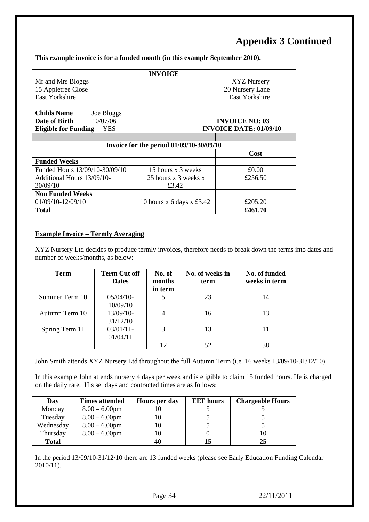### **Appendix 3 Continued**

#### **This example invoice is for a funded month (in this example September 2010).**

|                                           | <b>INVOICE</b>                           |                       |  |
|-------------------------------------------|------------------------------------------|-----------------------|--|
| Mr and Mrs Bloggs                         | XYZ Nursery                              |                       |  |
| 15 Appletree Close                        |                                          | 20 Nursery Lane       |  |
| <b>East Yorkshire</b>                     |                                          | <b>East Yorkshire</b> |  |
|                                           |                                          |                       |  |
| <b>Childs Name</b><br>Joe Bloggs          |                                          |                       |  |
| 10/07/06<br>Date of Birth                 |                                          | <b>INVOICE NO: 03</b> |  |
| <b>Eligible for Funding</b><br><b>YES</b> | <b>INVOICE DATE: 01/09/10</b>            |                       |  |
|                                           |                                          |                       |  |
|                                           | Invoice for the period 01/09/10-30/09/10 |                       |  |
|                                           |                                          | Cost                  |  |
| <b>Funded Weeks</b>                       |                                          |                       |  |
| Funded Hours 13/09/10-30/09/10            | 15 hours x 3 weeks                       | £0.00                 |  |
| Additional Hours 13/09/10-                | 25 hours x 3 weeks x                     | £256.50               |  |
| 30/09/10                                  | £3.42                                    |                       |  |
| <b>Non Funded Weeks</b>                   |                                          |                       |  |
| 01/09/10-12/09/10                         | 10 hours x 6 days x £3.42                | £205.20               |  |
| <b>Total</b>                              |                                          | £461.70               |  |

#### **Example Invoice – Termly Averaging**

XYZ Nursery Ltd decides to produce termly invoices, therefore needs to break down the terms into dates and number of weeks/months, as below:

| <b>Term</b>    | <b>Term Cut off</b><br><b>Dates</b> | No. of<br>months<br>in term | No. of weeks in<br>term | No. of funded<br>weeks in term |
|----------------|-------------------------------------|-----------------------------|-------------------------|--------------------------------|
| Summer Term 10 | $05/04/10$ -<br>10/09/10            |                             | 23                      | 14                             |
| Autumn Term 10 | 13/09/10-<br>31/12/10               |                             | 16                      | 13                             |
| Spring Term 11 | $03/01/11$ -<br>01/04/11            | 3                           | 13                      |                                |
|                |                                     | 12                          | 52                      | 38                             |

John Smith attends XYZ Nursery Ltd throughout the full Autumn Term (i.e. 16 weeks 13/09/10-31/12/10)

In this example John attends nursery 4 days per week and is eligible to claim 15 funded hours. He is charged on the daily rate. His set days and contracted times are as follows:

| Day          | Times attended   | <b>Hours per day</b> | <b>EEF</b> hours | <b>Chargeable Hours</b> |
|--------------|------------------|----------------------|------------------|-------------------------|
| Monday       | $8.00 - 6.00$ pm |                      |                  |                         |
| Tuesday      | $8.00 - 6.00$ pm |                      |                  |                         |
| Wednesday    | $8.00 - 6.00$ pm |                      |                  |                         |
| Thursday     | $8.00 - 6.00$ pm |                      |                  |                         |
| <b>Total</b> |                  | 40                   |                  | 25                      |

In the period 13/09/10-31/12/10 there are 13 funded weeks (please see Early Education Funding Calendar 2010/11).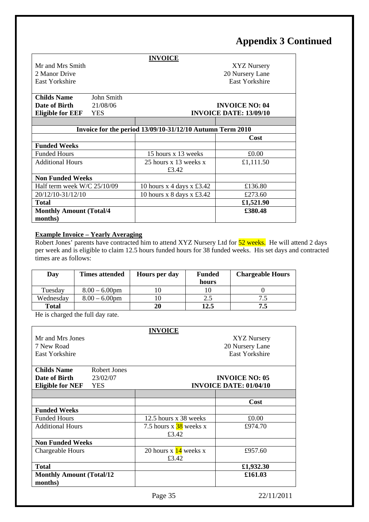### **Appendix 3 Continued**

|                                                           |            | <b>INVOICE</b>                        |                               |  |
|-----------------------------------------------------------|------------|---------------------------------------|-------------------------------|--|
| Mr and Mrs Smith                                          |            |                                       | XYZ Nursery                   |  |
| 2 Manor Drive                                             |            |                                       | 20 Nursery Lane               |  |
| East Yorkshire                                            |            |                                       | East Yorkshire                |  |
|                                                           |            |                                       |                               |  |
| <b>Childs Name</b>                                        | John Smith |                                       |                               |  |
| Date of Birth                                             | 21/08/06   |                                       | <b>INVOICE NO: 04</b>         |  |
| <b>Eligible for EEF</b>                                   | <b>YES</b> |                                       | <b>INVOICE DATE: 13/09/10</b> |  |
|                                                           |            |                                       |                               |  |
| Invoice for the period 13/09/10-31/12/10 Autumn Term 2010 |            |                                       |                               |  |
|                                                           |            |                                       | Cost                          |  |
| <b>Funded Weeks</b>                                       |            |                                       |                               |  |
| <b>Funded Hours</b>                                       |            | 15 hours x 13 weeks                   | £0.00                         |  |
| <b>Additional Hours</b>                                   |            | 25 hours x 13 weeks x                 | £1,111.50                     |  |
|                                                           |            | £3.42                                 |                               |  |
| <b>Non Funded Weeks</b>                                   |            |                                       |                               |  |
| Half term week $W/C$ 25/10/09                             |            | 10 hours x 4 days x £3.42             | £136.80                       |  |
| 20/12/10-31/12/10                                         |            | 10 hours $x$ 8 days $x \text{ £3.42}$ | £273.60                       |  |
| <b>Total</b>                                              |            |                                       | £1,521.90                     |  |
| <b>Monthly Amount (Total/4)</b>                           |            |                                       | £380.48                       |  |
| months)                                                   |            |                                       |                               |  |

#### **Example Invoice – Yearly Averaging**

Robert Jones' parents have contracted him to attend XYZ Nursery Ltd for 52 weeks. He will attend 2 days per week and is eligible to claim 12.5 hours funded hours for 38 funded weeks. His set days and contracted times are as follows:

| Day          | <b>Times attended</b> | <b>Hours per day</b> | <b>Funded</b> | <b>Chargeable Hours</b> |
|--------------|-----------------------|----------------------|---------------|-------------------------|
|              |                       |                      | hours         |                         |
| Tuesday      | $8.00 - 6.00$ pm      |                      |               |                         |
| Wednesday    | $8.00 - 6.00$ pm      |                      | 2.5           |                         |
| <b>Total</b> |                       | 20                   | 12.5          |                         |

He is charged the full day rate.

|                                  |              | <b>INVOICE</b>                     |                               |
|----------------------------------|--------------|------------------------------------|-------------------------------|
| Mr and Mrs Jones                 |              |                                    | <b>XYZ Nursery</b>            |
| 7 New Road                       |              |                                    | 20 Nursery Lane               |
| <b>East Yorkshire</b>            |              |                                    | <b>East Yorkshire</b>         |
|                                  |              |                                    |                               |
| <b>Childs Name</b>               | Robert Jones |                                    |                               |
| Date of Birth                    | 23/02/07     |                                    | <b>INVOICE NO: 05</b>         |
| <b>Eligible for NEF</b>          | <b>YES</b>   |                                    | <b>INVOICE DATE: 01/04/10</b> |
|                                  |              |                                    |                               |
|                                  |              |                                    | Cost                          |
| <b>Funded Weeks</b>              |              |                                    |                               |
| <b>Funded Hours</b>              |              | 12.5 hours x 38 weeks              | £0.00                         |
| <b>Additional Hours</b>          |              | 7.5 hours $x\frac{38}{9}$ weeks x  | £974.70                       |
|                                  |              | £3.42                              |                               |
| <b>Non Funded Weeks</b>          |              |                                    |                               |
| Chargeable Hours                 |              | 20 hours $x \frac{14}{14}$ weeks x | £957.60                       |
|                                  |              | £3.42                              |                               |
| <b>Total</b>                     |              |                                    | £1,932.30                     |
| <b>Monthly Amount (Total/12)</b> |              |                                    | £161.03                       |
| months)                          |              |                                    |                               |
|                                  |              |                                    |                               |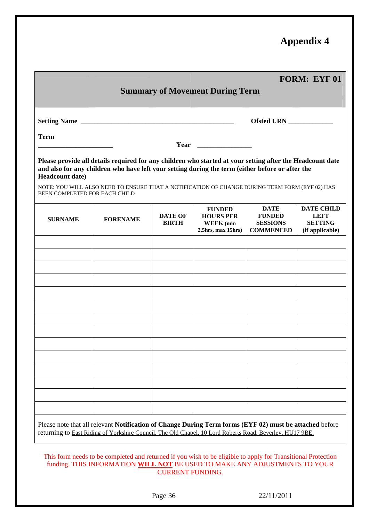### **Appendix 4**

|                                                                                                                                                                                                                                                                                                                                                                            |                                |                                                                             |                                                                     | <b>FORM: EYF 01</b>                                                                                                                               |  |  |  |  |  |  |
|----------------------------------------------------------------------------------------------------------------------------------------------------------------------------------------------------------------------------------------------------------------------------------------------------------------------------------------------------------------------------|--------------------------------|-----------------------------------------------------------------------------|---------------------------------------------------------------------|---------------------------------------------------------------------------------------------------------------------------------------------------|--|--|--|--|--|--|
|                                                                                                                                                                                                                                                                                                                                                                            |                                |                                                                             |                                                                     |                                                                                                                                                   |  |  |  |  |  |  |
|                                                                                                                                                                                                                                                                                                                                                                            |                                |                                                                             |                                                                     |                                                                                                                                                   |  |  |  |  |  |  |
| <b>Term</b>                                                                                                                                                                                                                                                                                                                                                                |                                |                                                                             |                                                                     |                                                                                                                                                   |  |  |  |  |  |  |
| Please provide all details required for any children who started at your setting after the Headcount date<br>and also for any children who have left your setting during the term (either before or after the<br><b>Headcount date)</b><br>NOTE: YOU WILL ALSO NEED TO ENSURE THAT A NOTIFICATION OF CHANGE DURING TERM FORM (EYF 02) HAS<br>BEEN COMPLETED FOR EACH CHILD |                                |                                                                             |                                                                     |                                                                                                                                                   |  |  |  |  |  |  |
| <b>FORENAME</b>                                                                                                                                                                                                                                                                                                                                                            | <b>DATE OF</b><br><b>BIRTH</b> | <b>FUNDED</b><br><b>HOURS PER</b><br><b>WEEK</b> (min<br>2.5hrs, max 15hrs) | <b>DATE</b><br><b>FUNDED</b><br><b>SESSIONS</b><br><b>COMMENCED</b> | <b>DATE CHILD</b><br><b>LEFT</b><br><b>SETTING</b><br>(if applicable)                                                                             |  |  |  |  |  |  |
|                                                                                                                                                                                                                                                                                                                                                                            |                                |                                                                             |                                                                     |                                                                                                                                                   |  |  |  |  |  |  |
|                                                                                                                                                                                                                                                                                                                                                                            |                                |                                                                             |                                                                     |                                                                                                                                                   |  |  |  |  |  |  |
|                                                                                                                                                                                                                                                                                                                                                                            |                                |                                                                             |                                                                     |                                                                                                                                                   |  |  |  |  |  |  |
|                                                                                                                                                                                                                                                                                                                                                                            |                                |                                                                             |                                                                     |                                                                                                                                                   |  |  |  |  |  |  |
|                                                                                                                                                                                                                                                                                                                                                                            |                                |                                                                             |                                                                     |                                                                                                                                                   |  |  |  |  |  |  |
|                                                                                                                                                                                                                                                                                                                                                                            |                                |                                                                             |                                                                     |                                                                                                                                                   |  |  |  |  |  |  |
|                                                                                                                                                                                                                                                                                                                                                                            |                                |                                                                             |                                                                     |                                                                                                                                                   |  |  |  |  |  |  |
|                                                                                                                                                                                                                                                                                                                                                                            |                                |                                                                             |                                                                     |                                                                                                                                                   |  |  |  |  |  |  |
|                                                                                                                                                                                                                                                                                                                                                                            |                                |                                                                             |                                                                     | <b>Summary of Movement During Term</b><br>Dlages note that all relayant Notification of Change During Term forms (EVF 02) must be attached before |  |  |  |  |  |  |

Please note that all relevant **Notification of Change During Term forms (EYF 02) must be attached** before returning to East Riding of Yorkshire Council, The Old Chapel, 10 Lord Roberts Road, Beverley, HU17 9BE.

This form needs to be completed and returned if you wish to be eligible to apply for Transitional Protection funding. THIS INFORMATION **WILL NOT** BE USED TO MAKE ANY ADJUSTMENTS TO YOUR CURRENT FUNDING.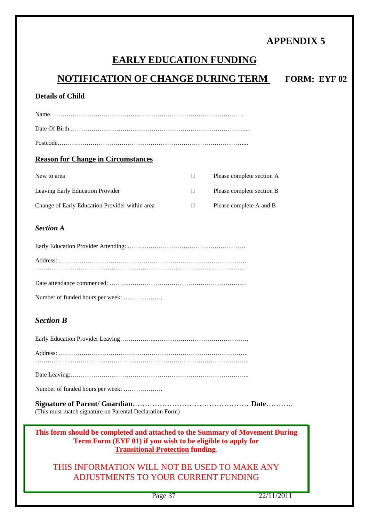### **APPENDIX 5**

## **EARLY EDUCATION FUNDING**

| <b>NOTIFICATION OF CHANGE DURING TERM</b>                                                                                                                                             |    |                           | <b>FORM: EYF 02</b> |  |  |  |  |  |  |
|---------------------------------------------------------------------------------------------------------------------------------------------------------------------------------------|----|---------------------------|---------------------|--|--|--|--|--|--|
| <b>Details of Child</b>                                                                                                                                                               |    |                           |                     |  |  |  |  |  |  |
|                                                                                                                                                                                       |    |                           |                     |  |  |  |  |  |  |
|                                                                                                                                                                                       |    |                           |                     |  |  |  |  |  |  |
|                                                                                                                                                                                       |    |                           |                     |  |  |  |  |  |  |
| <b>Reason for Change in Circumstances</b>                                                                                                                                             |    |                           |                     |  |  |  |  |  |  |
| New to area                                                                                                                                                                           | П. | Please complete section A |                     |  |  |  |  |  |  |
| Leaving Early Education Provider                                                                                                                                                      | П  | Please complete section B |                     |  |  |  |  |  |  |
| Change of Early Education Provider within area                                                                                                                                        | □  | Please complete A and B   |                     |  |  |  |  |  |  |
| <b>Section A</b>                                                                                                                                                                      |    |                           |                     |  |  |  |  |  |  |
|                                                                                                                                                                                       |    |                           |                     |  |  |  |  |  |  |
|                                                                                                                                                                                       |    |                           |                     |  |  |  |  |  |  |
|                                                                                                                                                                                       |    |                           |                     |  |  |  |  |  |  |
|                                                                                                                                                                                       |    |                           |                     |  |  |  |  |  |  |
| <b>Section B</b>                                                                                                                                                                      |    |                           |                     |  |  |  |  |  |  |
|                                                                                                                                                                                       |    |                           |                     |  |  |  |  |  |  |
| $A$ ddroso:                                                                                                                                                                           |    |                           |                     |  |  |  |  |  |  |
|                                                                                                                                                                                       |    |                           |                     |  |  |  |  |  |  |
| Number of funded hours per week:                                                                                                                                                      |    |                           |                     |  |  |  |  |  |  |
| (This must match signature on Parental Declaration Form)                                                                                                                              |    |                           |                     |  |  |  |  |  |  |
| This form should be completed and attached to the Summary of Movement During<br>Term Form (EYF 01) if you wish to be eligible to apply for<br><b>Transitional Protection funding.</b> |    |                           |                     |  |  |  |  |  |  |
| THIS INFORMATION WILL NOT BE USED TO MAKE ANY<br><b>ADJUSTMENTS TO YOUR CURRENT FUNDING</b>                                                                                           |    |                           |                     |  |  |  |  |  |  |
| Page 37                                                                                                                                                                               |    | 22/11/2011                |                     |  |  |  |  |  |  |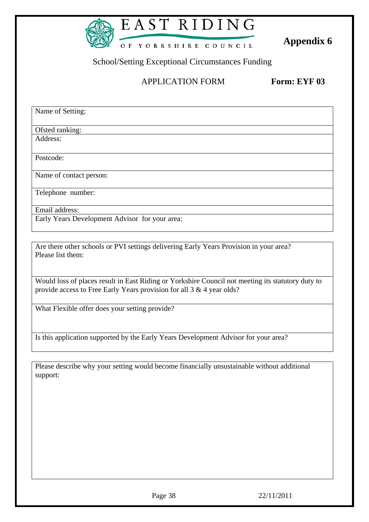

# EAST RIDING

**Appendix 6 Appendix 6** 

School/Setting Exceptional Circumstances Funding

#### APPLICATION FORM **Form: EYF 03**

Name of Setting: Ofsted ranking: Address: Postcode: Name of contact person: Telephone number: Email address: Early Years Development Advisor for your area:

Are there other schools or PVI settings delivering Early Years Provision in your area? Please list them:

Would loss of places result in East Riding or Yorkshire Council not meeting its statutory duty to provide access to Free Early Years provision for all 3 & 4 year olds?

What Flexible offer does your setting provide?

Is this application supported by the Early Years Development Advisor for your area?

Please describe why your setting would become financially unsustainable without additional support: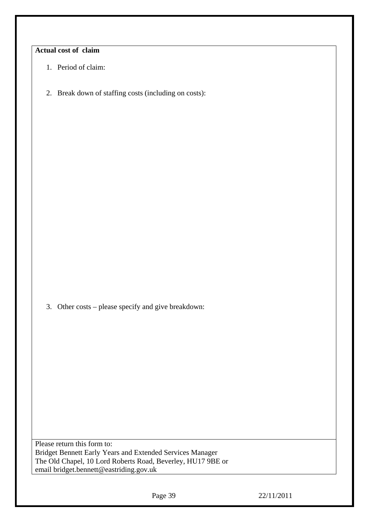#### **Actual cost of claim**

- 1. Period of claim:
- 2. Break down of staffing costs (including on costs):

3. Other costs – please specify and give breakdown:

Please return this form to: Bridget Bennett Early Years and Extended Services Manager The Old Chapel, 10 Lord Roberts Road, Beverley, HU17 9BE or email bridget.bennett@eastriding.gov.uk

Page 39 22/11/2011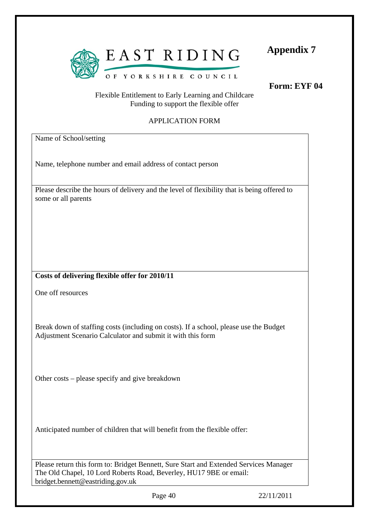

**Appendix 7** 

**Form: EYF 04**

#### Flexible Entitlement to Early Learning and Childcare Funding to support the flexible offer

#### APPLICATION FORM

Name of School/setting

Name, telephone number and email address of contact person

Please describe the hours of delivery and the level of flexibility that is being offered to some or all parents

#### **Costs of delivering flexible offer for 2010/11**

One off resources

Break down of staffing costs (including on costs). If a school, please use the Budget Adjustment Scenario Calculator and submit it with this form

Other costs – please specify and give breakdown

Anticipated number of children that will benefit from the flexible offer:

Please return this form to: Bridget Bennett, Sure Start and Extended Services Manager The Old Chapel, 10 Lord Roberts Road, Beverley, HU17 9BE or email: 1bridget.bennett@eastriding.gov.uk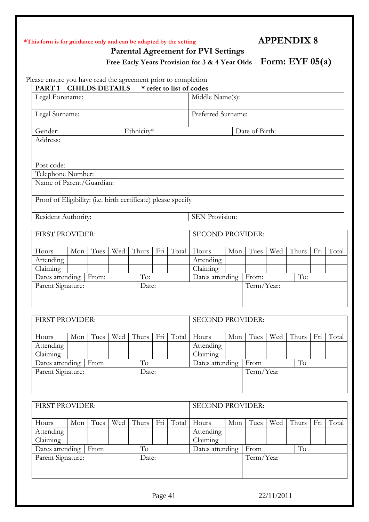#### **\*This form is for guidance only and can be adapted by the setting APPENDIX 8**

 **Parental Agreement for PVI Settings** 

Free Early Years Provision for 3 & 4 Year Olds Form: EYF 05(a)

Please ensure you have read the agreement prior to completion

| PART <sub>1</sub>                                             |            | <b>CHILDS DETAILS</b> |     |       |     | * refer to list of codes        |                               |            |                |     |                     |     |       |
|---------------------------------------------------------------|------------|-----------------------|-----|-------|-----|---------------------------------|-------------------------------|------------|----------------|-----|---------------------|-----|-------|
| Legal Forename:                                               |            |                       |     |       |     |                                 | Middle Name(s):               |            |                |     |                     |     |       |
| Legal Surname:                                                |            |                       |     |       |     |                                 | Preferred Surname:            |            |                |     |                     |     |       |
| Gender:                                                       | Ethnicity* |                       |     |       |     |                                 |                               |            | Date of Birth: |     |                     |     |       |
| Address:                                                      |            |                       |     |       |     |                                 |                               |            |                |     |                     |     |       |
| Post code:                                                    |            |                       |     |       |     |                                 |                               |            |                |     |                     |     |       |
| Telephone Number:                                             |            |                       |     |       |     |                                 |                               |            |                |     |                     |     |       |
| Name of Parent/Guardian:                                      |            |                       |     |       |     |                                 |                               |            |                |     |                     |     |       |
| Proof of Eligibility: (i.e. birth certificate) please specify |            |                       |     |       |     |                                 |                               |            |                |     |                     |     |       |
| Resident Authority:                                           |            |                       |     |       |     |                                 | SEN Provision:                |            |                |     |                     |     |       |
|                                                               |            |                       |     |       |     |                                 |                               |            |                |     |                     |     |       |
| FIRST PROVIDER:                                               |            |                       |     |       |     |                                 | <b>SECOND PROVIDER:</b>       |            |                |     |                     |     |       |
| Hours                                                         | Mon        | Tues                  | Wed | Thurs | Fri | Total                           | Hours                         | Mon        | Tues           | Wed | Thurs               | Fri | Total |
| Attending                                                     |            |                       |     |       |     |                                 | Attending                     |            |                |     |                     |     |       |
| Claiming                                                      |            |                       |     |       |     |                                 | Claiming                      |            |                |     |                     |     |       |
| To:<br>Dates attending<br>From:                               |            |                       |     |       |     | To:<br>Dates attending<br>From: |                               |            |                |     |                     |     |       |
| Parent Signature:<br>Date:                                    |            |                       |     |       |     |                                 |                               | Term/Year: |                |     |                     |     |       |
| FIRST PROVIDER:                                               |            |                       |     |       |     |                                 | <b>SECOND PROVIDER:</b>       |            |                |     |                     |     |       |
| Hours                                                         | Mon        | Tues                  | Wed | Thurs | Fri | Total                           | Hours                         | Mon        | Tues           | Wed | Thurs               | Fri | Total |
| Attending                                                     |            |                       |     |       |     |                                 | Attending                     |            |                |     |                     |     |       |
| Claiming                                                      |            |                       |     |       |     |                                 | Claiming                      |            |                |     |                     |     |       |
| Dates attending   From                                        |            |                       |     | To    |     |                                 | To<br>Dates attending<br>From |            |                |     |                     |     |       |
| Parent Signature:<br>Date:                                    |            |                       |     |       |     |                                 |                               | Term/Year  |                |     |                     |     |       |
|                                                               |            |                       |     |       |     |                                 |                               |            |                |     |                     |     |       |
| FIRST PROVIDER:                                               |            |                       |     |       |     | <b>SECOND PROVIDER:</b>         |                               |            |                |     |                     |     |       |
| Hours                                                         | Mon        | Tues                  | Wed | Thurs | Fri | Total                           | Hours                         | Mon        | Tues           | Wed | Thurs               | Fri | Total |
| Attending                                                     |            |                       |     |       |     |                                 | Attending                     |            |                |     |                     |     |       |
| Claiming                                                      |            |                       |     |       |     |                                 | Claiming                      |            |                |     |                     |     |       |
| Dates attending                                               |            | From                  |     | To    |     |                                 | Dates attending               |            | From           |     | $\operatorname{To}$ |     |       |
| Parent Signature:<br>Date:                                    |            |                       |     |       |     | Term/Year                       |                               |            |                |     |                     |     |       |

Page 41 22/11/2011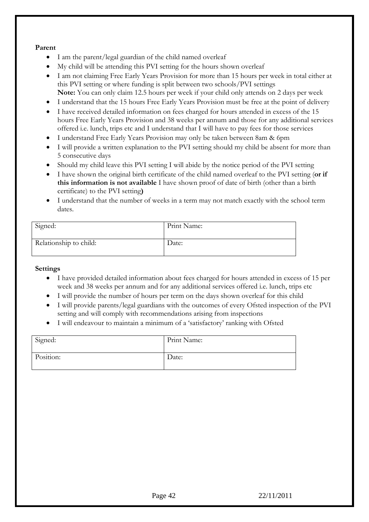#### **Parent**

- I am the parent/legal guardian of the child named overleaf
- My child will be attending this PVI setting for the hours shown overleaf
- I am not claiming Free Early Years Provision for more than 15 hours per week in total either at this PVI setting or where funding is split between two schools/PVI settings **Note:** You can only claim 12.5 hours per week if your child only attends on 2 days per week
- I understand that the 15 hours Free Early Years Provision must be free at the point of delivery
- I have received detailed information on fees charged for hours attended in excess of the 15 hours Free Early Years Provision and 38 weeks per annum and those for any additional services offered i.e. lunch, trips etc and I understand that I will have to pay fees for those services
- I understand Free Early Years Provision may only be taken between 8am & 6pm
- I will provide a written explanation to the PVI setting should my child be absent for more than 5 consecutive days
- Should my child leave this PVI setting I will abide by the notice period of the PVI setting
- I have shown the original birth certificate of the child named overleaf to the PVI setting (**or if this information is not available** I have shown proof of date of birth (other than a birth certificate) to the PVI setting**)**
- I understand that the number of weeks in a term may not match exactly with the school term dates.

| Signed:                | Print Name: |
|------------------------|-------------|
| Relationship to child: | Date:       |

#### **Settings**

- I have provided detailed information about fees charged for hours attended in excess of 15 per week and 38 weeks per annum and for any additional services offered i.e. lunch, trips etc
- I will provide the number of hours per term on the days shown overleaf for this child
- I will provide parents/legal guardians with the outcomes of every Ofsted inspection of the PVI setting and will comply with recommendations arising from inspections
- I will endeavour to maintain a minimum of a 'satisfactory' ranking with Ofsted

| Signed:   | Print Name: |
|-----------|-------------|
| Position: | Date:       |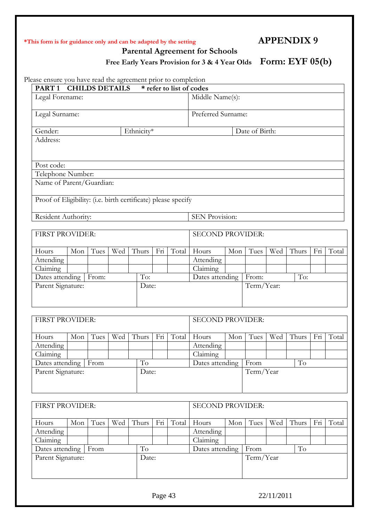#### **\*This form is for guidance only and can be adapted by the setting APPENDIX 9**

 **Parental Agreement for Schools** 

Free Early Years Provision for 3 & 4 Year Olds Form: EYF 05(b)

Please ensure you have read the agreement prior to completion

| case ensure you have read the agreement prior to completion<br><b>CHILDS DETAILS</b><br>PART <sub>1</sub><br>* refer to list of codes |                                 |      |     |       |                         |       |                                 |     |                |     |       |     |       |
|---------------------------------------------------------------------------------------------------------------------------------------|---------------------------------|------|-----|-------|-------------------------|-------|---------------------------------|-----|----------------|-----|-------|-----|-------|
| Legal Forename:                                                                                                                       |                                 |      |     |       |                         |       | Middle Name(s):                 |     |                |     |       |     |       |
| Legal Surname:                                                                                                                        |                                 |      |     |       |                         |       | Preferred Surname:              |     |                |     |       |     |       |
| Gender:                                                                                                                               | Ethnicity*                      |      |     |       |                         |       |                                 |     | Date of Birth: |     |       |     |       |
| Address:                                                                                                                              |                                 |      |     |       |                         |       |                                 |     |                |     |       |     |       |
|                                                                                                                                       |                                 |      |     |       |                         |       |                                 |     |                |     |       |     |       |
|                                                                                                                                       |                                 |      |     |       |                         |       |                                 |     |                |     |       |     |       |
| Post code:                                                                                                                            |                                 |      |     |       |                         |       |                                 |     |                |     |       |     |       |
| Telephone Number:                                                                                                                     |                                 |      |     |       |                         |       |                                 |     |                |     |       |     |       |
| Name of Parent/Guardian:                                                                                                              |                                 |      |     |       |                         |       |                                 |     |                |     |       |     |       |
| Proof of Eligibility: (i.e. birth certificate) please specify                                                                         |                                 |      |     |       |                         |       |                                 |     |                |     |       |     |       |
|                                                                                                                                       |                                 |      |     |       |                         |       |                                 |     |                |     |       |     |       |
| Resident Authority:                                                                                                                   |                                 |      |     |       |                         |       | <b>SEN Provision:</b>           |     |                |     |       |     |       |
|                                                                                                                                       |                                 |      |     |       |                         |       |                                 |     |                |     |       |     |       |
| FIRST PROVIDER:                                                                                                                       |                                 |      |     |       |                         |       | <b>SECOND PROVIDER:</b>         |     |                |     |       |     |       |
| Hours                                                                                                                                 | Mon                             | Tues | Wed | Thurs | Fri                     | Total | Hours                           | Mon | Tues           | Wed | Thurs | Fri | Total |
| Attending                                                                                                                             |                                 |      |     |       |                         |       | Attending                       |     |                |     |       |     |       |
| Claiming                                                                                                                              |                                 |      |     |       |                         |       | $\overline{\text{Claiming}}$    |     |                |     |       |     |       |
|                                                                                                                                       | Dates attending<br>To:<br>From: |      |     |       |                         |       | Dates attending<br>To:<br>From: |     |                |     |       |     |       |
| Parent Signature:<br>Date:                                                                                                            |                                 |      |     |       | Term/Year:              |       |                                 |     |                |     |       |     |       |
|                                                                                                                                       |                                 |      |     |       |                         |       |                                 |     |                |     |       |     |       |
| <b>FIRST PROVIDER:</b>                                                                                                                |                                 |      |     |       |                         |       | <b>SECOND PROVIDER:</b>         |     |                |     |       |     |       |
| Hours                                                                                                                                 | Mon                             | Tues | Wed | Thurs | Fri                     | Total | Hours                           | Mon | Tues           | Wed | Thurs | Fri | Total |
| Attending                                                                                                                             |                                 |      |     |       |                         |       | Attending                       |     |                |     |       |     |       |
| Claiming                                                                                                                              |                                 |      |     |       |                         |       | Claiming                        |     |                |     |       |     |       |
| Dates attending   From                                                                                                                |                                 |      |     | To    |                         |       | Dates attending                 |     | From           |     | To    |     |       |
| Parent Signature:                                                                                                                     |                                 |      |     |       | Date:                   |       | Term/Year                       |     |                |     |       |     |       |
|                                                                                                                                       |                                 |      |     |       |                         |       |                                 |     |                |     |       |     |       |
|                                                                                                                                       |                                 |      |     |       |                         |       |                                 |     |                |     |       |     |       |
| FIRST PROVIDER:                                                                                                                       |                                 |      |     |       | <b>SECOND PROVIDER:</b> |       |                                 |     |                |     |       |     |       |
| Hours                                                                                                                                 | Mon                             | Tues | Wed | Thurs | Fri                     | Total | Hours                           | Mon | Tues           | Wed | Thurs | Fri | Total |
| Attending                                                                                                                             |                                 |      |     |       |                         |       | Attending                       |     |                |     |       |     |       |
| Claiming                                                                                                                              |                                 |      |     |       |                         |       | Claiming                        |     |                |     |       |     |       |
|                                                                                                                                       | To<br>Dates attending<br>From   |      |     |       |                         |       | To<br>Dates attending<br>From   |     |                |     |       |     |       |
| Parent Signature:<br>Date:                                                                                                            |                                 |      |     |       | Term/Year               |       |                                 |     |                |     |       |     |       |

Page 43 22/11/2011